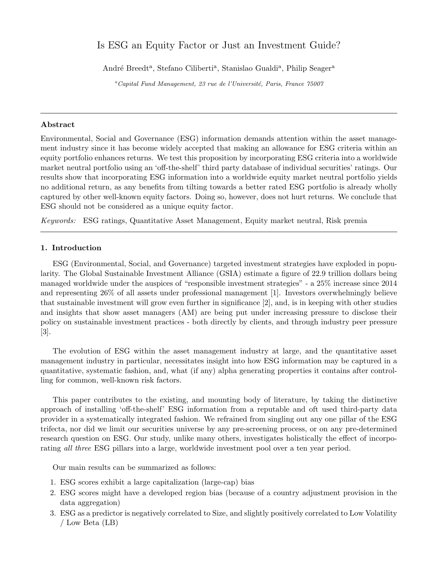# Is ESG an Equity Factor or Just an Investment Guide?

André Breedt<sup>a</sup>, Stefano Ciliberti<sup>a</sup>, Stanislao Gualdi<sup>a</sup>, Philip Seager<sup>a</sup>

 ${}^a$ Capital Fund Management, 23 rue de l'Université, Paris, France 75007

### Abstract

Environmental, Social and Governance (ESG) information demands attention within the asset management industry since it has become widely accepted that making an allowance for ESG criteria within an equity portfolio enhances returns. We test this proposition by incorporating ESG criteria into a worldwide market neutral portfolio using an 'off-the-shelf' third party database of individual securities' ratings. Our results show that incorporating ESG information into a worldwide equity market neutral portfolio yields no additional return, as any benefits from tilting towards a better rated ESG portfolio is already wholly captured by other well-known equity factors. Doing so, however, does not hurt returns. We conclude that ESG should not be considered as a unique equity factor.

Keywords: ESG ratings, Quantitative Asset Management, Equity market neutral, Risk premia

# 1. Introduction

ESG (Environmental, Social, and Governance) targeted investment strategies have exploded in popularity. The Global Sustainable Investment Alliance (GSIA) estimate a figure of 22.9 trillion dollars being managed worldwide under the auspices of "responsible investment strategies" - a 25% increase since 2014 and representing 26% of all assets under professional management [1]. Investors overwhelmingly believe that sustainable investment will grow even further in significance [2], and, is in keeping with other studies and insights that show asset managers (AM) are being put under increasing pressure to disclose their policy on sustainable investment practices - both directly by clients, and through industry peer pressure [3].

The evolution of ESG within the asset management industry at large, and the quantitative asset management industry in particular, necessitates insight into how ESG information may be captured in a quantitative, systematic fashion, and, what (if any) alpha generating properties it contains after controlling for common, well-known risk factors.

This paper contributes to the existing, and mounting body of literature, by taking the distinctive approach of installing 'off-the-shelf' ESG information from a reputable and oft used third-party data provider in a systematically integrated fashion. We refrained from singling out any one pillar of the ESG trifecta, nor did we limit our securities universe by any pre-screening process, or on any pre-determined research question on ESG. Our study, unlike many others, investigates holistically the effect of incorporating all three ESG pillars into a large, worldwide investment pool over a ten year period.

Our main results can be summarized as follows:

- 1. ESG scores exhibit a large capitalization (large-cap) bias
- 2. ESG scores might have a developed region bias (because of a country adjustment provision in the data aggregation)
- 3. ESG as a predictor is negatively correlated to Size, and slightly positively correlated to Low Volatility / Low Beta (LB)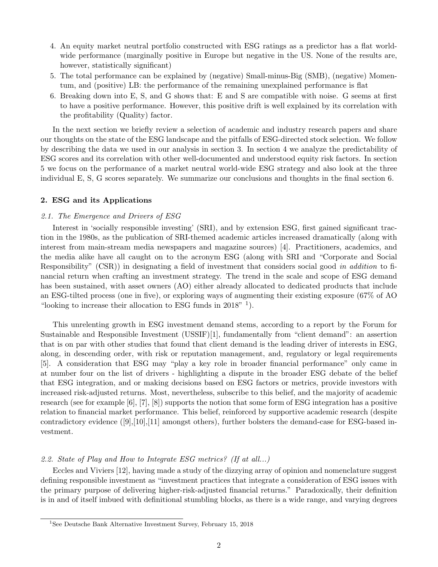- 4. An equity market neutral portfolio constructed with ESG ratings as a predictor has a flat worldwide performance (marginally positive in Europe but negative in the US. None of the results are, however, statistically significant)
- 5. The total performance can be explained by (negative) Small-minus-Big (SMB), (negative) Momentum, and (positive) LB: the performance of the remaining unexplained performance is flat
- 6. Breaking down into E, S, and G shows that: E and S are compatible with noise. G seems at first to have a positive performance. However, this positive drift is well explained by its correlation with the profitability (Quality) factor.

In the next section we briefly review a selection of academic and industry research papers and share our thoughts on the state of the ESG landscape and the pitfalls of ESG-directed stock selection. We follow by describing the data we used in our analysis in section 3. In section 4 we analyze the predictability of ESG scores and its correlation with other well-documented and understood equity risk factors. In section 5 we focus on the performance of a market neutral world-wide ESG strategy and also look at the three individual E, S, G scores separately. We summarize our conclusions and thoughts in the final section 6.

# 2. ESG and its Applications

### 2.1. The Emergence and Drivers of ESG

Interest in 'socially responsible investing' (SRI), and by extension ESG, first gained significant traction in the 1980s, as the publication of SRI-themed academic articles increased dramatically (along with interest from main-stream media newspapers and magazine sources) [4]. Practitioners, academics, and the media alike have all caught on to the acronym ESG (along with SRI and "Corporate and Social Responsibility" (CSR)) in designating a field of investment that considers social good in addition to financial return when crafting an investment strategy. The trend in the scale and scope of ESG demand has been sustained, with asset owners (AO) either already allocated to dedicated products that include an ESG-tilted process (one in five), or exploring ways of augmenting their existing exposure (67% of AO "looking to increase their allocation to ESG funds in  $2018"$ <sup>1</sup>).

This unrelenting growth in ESG investment demand stems, according to a report by the Forum for Sustainable and Responsible Investment (USSIF)[1], fundamentally from "client demand": an assertion that is on par with other studies that found that client demand is the leading driver of interests in ESG, along, in descending order, with risk or reputation management, and, regulatory or legal requirements [5]. A consideration that ESG may "play a key role in broader financial performance" only came in at number four on the list of drivers - highlighting a dispute in the broader ESG debate of the belief that ESG integration, and or making decisions based on ESG factors or metrics, provide investors with increased risk-adjusted returns. Most, nevertheless, subscribe to this belief, and the majority of academic research (see for example [6], [7], [8]) supports the notion that some form of ESG integration has a positive relation to financial market performance. This belief, reinforced by supportive academic research (despite contradictory evidence ([9],[10],[11] amongst others), further bolsters the demand-case for ESG-based investment.

### 2.2. State of Play and How to Integrate ESG metrics? (If at all...)

Eccles and Viviers [12], having made a study of the dizzying array of opinion and nomenclature suggest defining responsible investment as "investment practices that integrate a consideration of ESG issues with the primary purpose of delivering higher-risk-adjusted financial returns." Paradoxically, their definition is in and of itself imbued with definitional stumbling blocks, as there is a wide range, and varying degrees

<sup>1</sup>See Deutsche Bank Alternative Investment Survey, February 15, 2018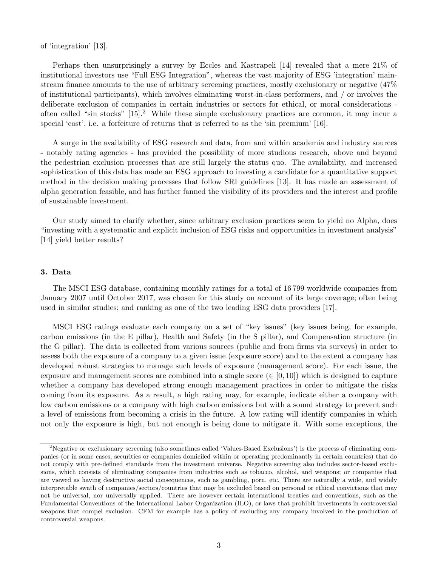of 'integration' [13].

Perhaps then unsurprisingly a survey by Eccles and Kastrapeli [14] revealed that a mere 21% of institutional investors use "Full ESG Integration", whereas the vast majority of ESG 'integration' mainstream finance amounts to the use of arbitrary screening practices, mostly exclusionary or negative (47% of institutional participants), which involves eliminating worst-in-class performers, and / or involves the deliberate exclusion of companies in certain industries or sectors for ethical, or moral considerations often called "sin stocks" [15].<sup>2</sup> While these simple exclusionary practices are common, it may incur a special 'cost', i.e. a forfeiture of returns that is referred to as the 'sin premium' [16].

A surge in the availability of ESG research and data, from and within academia and industry sources - notably rating agencies - has provided the possibility of more studious research, above and beyond the pedestrian exclusion processes that are still largely the status quo. The availability, and increased sophistication of this data has made an ESG approach to investing a candidate for a quantitative support method in the decision making processes that follow SRI guidelines [13]. It has made an assessment of alpha generation feasible, and has further fanned the visibility of its providers and the interest and profile of sustainable investment.

Our study aimed to clarify whether, since arbitrary exclusion practices seem to yield no Alpha, does "investing with a systematic and explicit inclusion of ESG risks and opportunities in investment analysis" [14] yield better results?

# 3. Data

The MSCI ESG database, containing monthly ratings for a total of 16 799 worldwide companies from January 2007 until October 2017, was chosen for this study on account of its large coverage; often being used in similar studies; and ranking as one of the two leading ESG data providers [17].

MSCI ESG ratings evaluate each company on a set of "key issues" (key issues being, for example, carbon emissions (in the E pillar), Health and Safety (in the S pillar), and Compensation structure (in the G pillar). The data is collected from various sources (public and from firms via surveys) in order to assess both the exposure of a company to a given issue (exposure score) and to the extent a company has developed robust strategies to manage such levels of exposure (management score). For each issue, the exposure and management scores are combined into a single score ( $\in [0, 10]$ ) which is designed to capture whether a company has developed strong enough management practices in order to mitigate the risks coming from its exposure. As a result, a high rating may, for example, indicate either a company with low carbon emissions or a company with high carbon emissions but with a sound strategy to prevent such a level of emissions from becoming a crisis in the future. A low rating will identify companies in which not only the exposure is high, but not enough is being done to mitigate it. With some exceptions, the

<sup>&</sup>lt;sup>2</sup>Negative or exclusionary screening (also sometimes called 'Values-Based Exclusions') is the process of eliminating companies (or in some cases, securities or companies domiciled within or operating predominantly in certain countries) that do not comply with pre-defined standards from the investment universe. Negative screening also includes sector-based exclusions, which consists of eliminating companies from industries such as tobacco, alcohol, and weapons; or companies that are viewed as having destructive social consequences, such as gambling, porn, etc. There are naturally a wide, and widely interpretable swath of companies/sectors/countries that may be excluded based on personal or ethical convictions that may not be universal, nor universally applied. There are however certain international treaties and conventions, such as the Fundamental Conventions of the International Labor Organization (ILO), or laws that prohibit investments in controversial weapons that compel exclusion. CFM for example has a policy of excluding any company involved in the production of controversial weapons.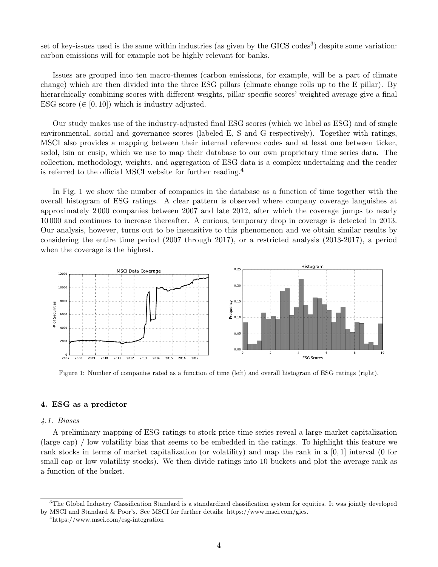set of key-issues used is the same within industries (as given by the GICS codes<sup>3</sup>) despite some variation: carbon emissions will for example not be highly relevant for banks.

Issues are grouped into ten macro-themes (carbon emissions, for example, will be a part of climate change) which are then divided into the three ESG pillars (climate change rolls up to the E pillar). By hierarchically combining scores with different weights, pillar specific scores' weighted average give a final ESG score  $(\in [0, 10])$  which is industry adjusted.

Our study makes use of the industry-adjusted final ESG scores (which we label as ESG) and of single environmental, social and governance scores (labeled E, S and G respectively). Together with ratings, MSCI also provides a mapping between their internal reference codes and at least one between ticker, sedol, isin or cusip, which we use to map their database to our own proprietary time series data. The collection, methodology, weights, and aggregation of ESG data is a complex undertaking and the reader is referred to the official MSCI website for further reading.<sup>4</sup>

In Fig. 1 we show the number of companies in the database as a function of time together with the overall histogram of ESG ratings. A clear pattern is observed where company coverage languishes at approximately 2 000 companies between 2007 and late 2012, after which the coverage jumps to nearly 10 000 and continues to increase thereafter. A curious, temporary drop in coverage is detected in 2013. Our analysis, however, turns out to be insensitive to this phenomenon and we obtain similar results by considering the entire time period (2007 through 2017), or a restricted analysis (2013-2017), a period when the coverage is the highest.



Figure 1: Number of companies rated as a function of time (left) and overall histogram of ESG ratings (right).

### 4. ESG as a predictor

#### 4.1. Biases

A preliminary mapping of ESG ratings to stock price time series reveal a large market capitalization (large cap) / low volatility bias that seems to be embedded in the ratings. To highlight this feature we rank stocks in terms of market capitalization (or volatility) and map the rank in a [0, 1] interval (0 for small cap or low volatility stocks). We then divide ratings into 10 buckets and plot the average rank as a function of the bucket.

 $3$ The Global Industry Classification Standard is a standardized classification system for equities. It was jointly developed by MSCI and Standard & Poor's. See MSCI for further details: https://www.msci.com/gics.

<sup>4</sup>https://www.msci.com/esg-integration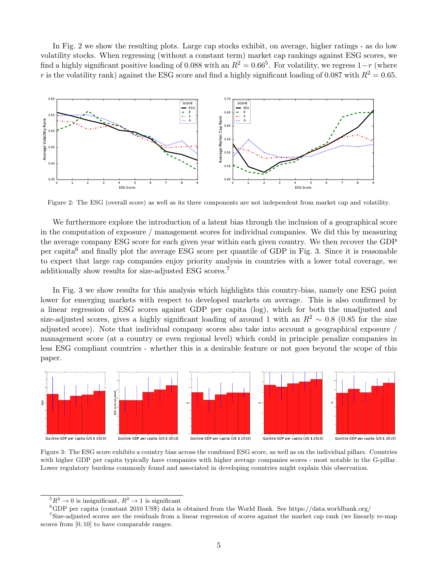In Fig. 2 we show the resulting plots. Large cap stocks exhibit, on average, higher ratings - as do low volatility stocks. When regressing (without a constant term) market cap rankings against ESG scores, we find a highly significant positive loading of 0.088 with an  $R^2 = 0.66^5$ . For volatility, we regress  $1-r$  (where r is the volatility rank) against the ESG score and find a highly significant loading of 0.087 with  $R^2 = 0.65$ .



Figure 2: The ESG (overall score) as well as its three components are not independent from market cap and volatility.

We furthermore explore the introduction of a latent bias through the inclusion of a geographical score in the computation of exposure / management scores for individual companies. We did this by measuring the average company ESG score for each given year within each given country. We then recover the GDP per capita<sup>6</sup> and finally plot the average ESG score per quantile of GDP in Fig. 3. Since it is reasonable to expect that large cap companies enjoy priority analysis in countries with a lower total coverage, we additionally show results for size-adjusted ESG scores.<sup>7</sup>

In Fig. 3 we show results for this analysis which highlights this country-bias, namely one ESG point lower for emerging markets with respect to developed markets on average. This is also confirmed by a linear regression of ESG scores against GDP per capita (log), which for both the unadjusted and size-adjusted scores, gives a highly significant loading of around 1 with an  $R^2 \sim 0.8$  (0.85 for the size adjusted score). Note that individual company scores also take into account a geographical exposure / management score (at a country or even regional level) which could in principle penalize companies in less ESG compliant countries - whether this is a desirable feature or not goes beyond the scope of this paper.



Figure 3: The ESG score exhibits a country bias across the combined ESG score, as well as on the individual pillars. Countries with higher GDP per capita typically have companies with higher average companies scores - most notable in the G-pillar. Lower regulatory burdens commonly found and associated in developing countries might explain this observation.

 ${}^5R^2 \rightarrow 0$  is insignificant,  $R^2 \rightarrow 1$  is significant

 ${}^6$ GDP per capita (constant 2010 US\$) data is obtained from the World Bank. See https://data.worldbank.org/

<sup>&</sup>lt;sup>7</sup>Size-adjusted scores are the residuals from a linear regression of scores against the market cap rank (we linearly re-map scores from  $[0, 10]$  to have comparable ranges.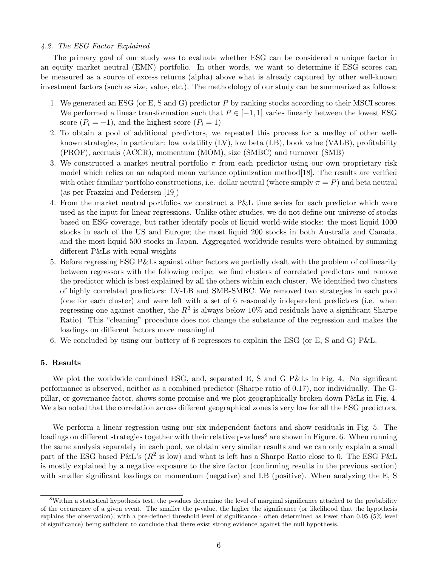### 4.2. The ESG Factor Explained

The primary goal of our study was to evaluate whether ESG can be considered a unique factor in an equity market neutral (EMN) portfolio. In other words, we want to determine if ESG scores can be measured as a source of excess returns (alpha) above what is already captured by other well-known investment factors (such as size, value, etc.). The methodology of our study can be summarized as follows:

- 1. We generated an ESG (or E, S and G) predictor P by ranking stocks according to their MSCI scores. We performed a linear transformation such that  $P \in [-1,1]$  varies linearly between the lowest ESG score  $(P_i = -1)$ , and the highest score  $(P_i = 1)$
- 2. To obtain a pool of additional predictors, we repeated this process for a medley of other wellknown strategies, in particular: low volatility (LV), low beta (LB), book value (VALB), profitability (PROF), accruals (ACCR), momentum (MOM), size (SMBC) and turnover (SMB)
- 3. We constructed a market neutral portfolio  $\pi$  from each predictor using our own proprietary risk model which relies on an adapted mean variance optimization method[18]. The results are verified with other familiar portfolio constructions, i.e. dollar neutral (where simply  $\pi = P$ ) and beta neutral (as per Frazzini and Pedersen [19])
- 4. From the market neutral portfolios we construct a P&L time series for each predictor which were used as the input for linear regressions. Unlike other studies, we do not define our universe of stocks based on ESG coverage, but rather identify pools of liquid world-wide stocks: the most liquid 1000 stocks in each of the US and Europe; the most liquid 200 stocks in both Australia and Canada, and the most liquid 500 stocks in Japan. Aggregated worldwide results were obtained by summing different P&Ls with equal weights
- 5. Before regressing ESG P&Ls against other factors we partially dealt with the problem of collinearity between regressors with the following recipe: we find clusters of correlated predictors and remove the predictor which is best explained by all the others within each cluster. We identified two clusters of highly correlated predictors: LV-LB and SMB-SMBC. We removed two strategies in each pool (one for each cluster) and were left with a set of 6 reasonably independent predictors (i.e. when regressing one against another, the  $R^2$  is always below 10% and residuals have a significant Sharpe Ratio). This "cleaning" procedure does not change the substance of the regression and makes the loadings on different factors more meaningful
- 6. We concluded by using our battery of 6 regressors to explain the ESG (or E, S and G) P&L.

## 5. Results

We plot the worldwide combined ESG, and, separated E, S and G P&Ls in Fig. 4. No significant performance is observed, neither as a combined predictor (Sharpe ratio of 0.17), nor individually. The Gpillar, or governance factor, shows some promise and we plot geographically broken down P&Ls in Fig. 4. We also noted that the correlation across different geographical zones is very low for all the ESG predictors.

We perform a linear regression using our six independent factors and show residuals in Fig. 5. The loadings on different strategies together with their relative p-values<sup>8</sup> are shown in Figure. 6. When running the same analysis separately in each pool, we obtain very similar results and we can only explain a small part of the ESG based P&L's ( $R^2$  is low) and what is left has a Sharpe Ratio close to 0. The ESG P&L is mostly explained by a negative exposure to the size factor (confirming results in the previous section) with smaller significant loadings on momentum (negative) and LB (positive). When analyzing the E, S

<sup>&</sup>lt;sup>8</sup>Within a statistical hypothesis test, the p-values determine the level of marginal significance attached to the probability of the occurrence of a given event. The smaller the p-value, the higher the significance (or likelihood that the hypothesis explains the observation), with a pre-defined threshold level of significance - often determined as lower than 0.05 (5% level of significance) being sufficient to conclude that there exist strong evidence against the null hypothesis.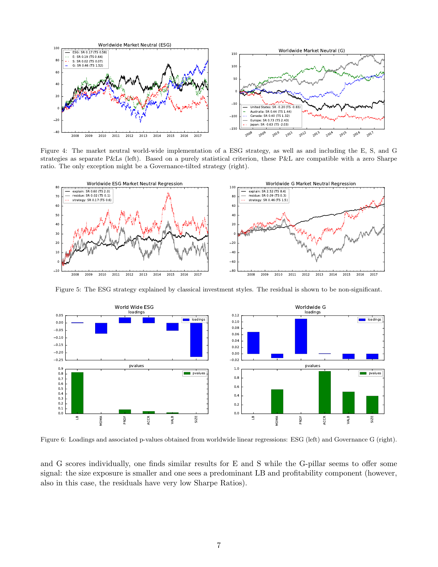

Figure 4: The market neutral world-wide implementation of a ESG strategy, as well as and including the E, S, and G strategies as separate P&Ls (left). Based on a purely statistical criterion, these P&L are compatible with a zero Sharpe ratio. The only exception might be a Governance-tilted strategy (right).



Figure 5: The ESG strategy explained by classical investment styles. The residual is shown to be non-significant.



Figure 6: Loadings and associated p-values obtained from worldwide linear regressions: ESG (left) and Governance G (right).

and G scores individually, one finds similar results for E and S while the G-pillar seems to offer some signal: the size exposure is smaller and one sees a predominant LB and profitability component (however, also in this case, the residuals have very low Sharpe Ratios).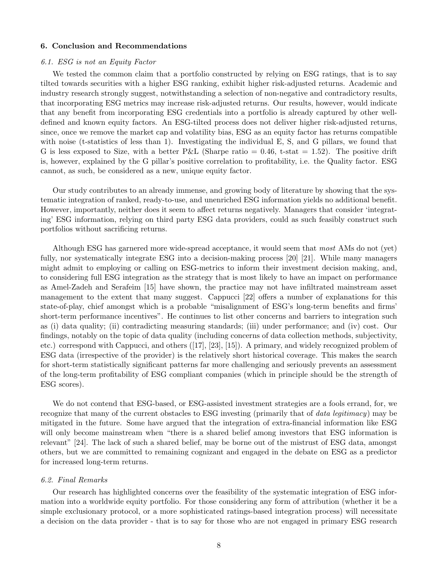#### 6. Conclusion and Recommendations

#### 6.1. ESG is not an Equity Factor

We tested the common claim that a portfolio constructed by relying on ESG ratings, that is to say tilted towards securities with a higher ESG ranking, exhibit higher risk-adjusted returns. Academic and industry research strongly suggest, notwithstanding a selection of non-negative and contradictory results, that incorporating ESG metrics may increase risk-adjusted returns. Our results, however, would indicate that any benefit from incorporating ESG credentials into a portfolio is already captured by other welldefined and known equity factors. An ESG-tilted process does not deliver higher risk-adjusted returns, since, once we remove the market cap and volatility bias, ESG as an equity factor has returns compatible with noise (t-statistics of less than 1). Investigating the individual E, S, and G pillars, we found that G is less exposed to Size, with a better P&L (Sharpe ratio  $= 0.46$ , t-stat  $= 1.52$ ). The positive drift is, however, explained by the G pillar's positive correlation to profitability, i.e. the Quality factor. ESG cannot, as such, be considered as a new, unique equity factor.

Our study contributes to an already immense, and growing body of literature by showing that the systematic integration of ranked, ready-to-use, and unenriched ESG information yields no additional benefit. However, importantly, neither does it seem to affect returns negatively. Managers that consider 'integrating' ESG information, relying on third party ESG data providers, could as such feasibly construct such portfolios without sacrificing returns.

Although ESG has garnered more wide-spread acceptance, it would seem that most AMs do not (yet) fully, nor systematically integrate ESG into a decision-making process [20] [21]. While many managers might admit to employing or calling on ESG-metrics to inform their investment decision making, and, to considering full ESG integration as the strategy that is most likely to have an impact on performance as Amel-Zadeh and Serafeim [15] have shown, the practice may not have infiltrated mainstream asset management to the extent that many suggest. Cappucci [22] offers a number of explanations for this state-of-play, chief amongst which is a probable "misalignment of ESG's long-term benefits and firms' short-term performance incentives". He continues to list other concerns and barriers to integration such as (i) data quality; (ii) contradicting measuring standards; (iii) under performance; and (iv) cost. Our findings, notably on the topic of data quality (including concerns of data collection methods, subjectivity, etc.) correspond with Cappucci, and others ([17], [23], [15]). A primary, and widely recognized problem of ESG data (irrespective of the provider) is the relatively short historical coverage. This makes the search for short-term statistically significant patterns far more challenging and seriously prevents an assessment of the long-term profitability of ESG compliant companies (which in principle should be the strength of ESG scores).

We do not contend that ESG-based, or ESG-assisted investment strategies are a fools errand, for, we recognize that many of the current obstacles to ESG investing (primarily that of data legitimacy) may be mitigated in the future. Some have argued that the integration of extra-financial information like ESG will only become mainstream when "there is a shared belief among investors that ESG information is relevant" [24]. The lack of such a shared belief, may be borne out of the mistrust of ESG data, amongst others, but we are committed to remaining cognizant and engaged in the debate on ESG as a predictor for increased long-term returns.

# 6.2. Final Remarks

Our research has highlighted concerns over the feasibility of the systematic integration of ESG information into a worldwide equity portfolio. For those considering any form of attribution (whether it be a simple exclusionary protocol, or a more sophisticated ratings-based integration process) will necessitate a decision on the data provider - that is to say for those who are not engaged in primary ESG research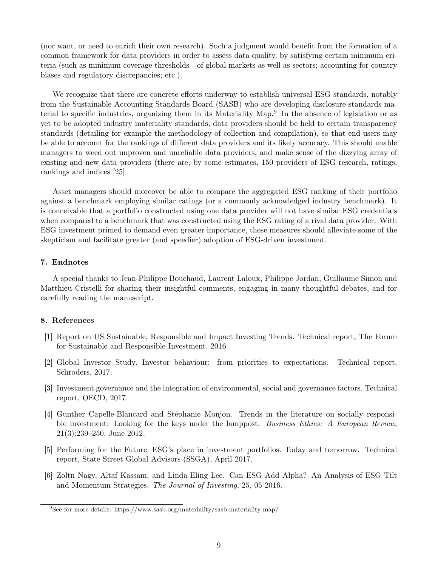(nor want, or need to enrich their own research). Such a judgment would benefit from the formation of a common framework for data providers in order to assess data quality, by satisfying certain minimum criteria (such as minimum coverage thresholds - of global markets as well as sectors; accounting for country biases and regulatory discrepancies; etc.).

We recognize that there are concrete efforts underway to establish universal ESG standards, notably from the Sustainable Accounting Standards Board (SASB) who are developing disclosure standards material to specific industries, organizing them in its Materiality Map.<sup>9</sup> In the absence of legislation or as yet to be adopted industry materiality standards, data providers should be held to certain transparency standards (detailing for example the methodology of collection and compilation), so that end-users may be able to account for the rankings of different data providers and its likely accuracy. This should enable managers to weed out unproven and unreliable data providers, and make sense of the dizzying array of existing and new data providers (there are, by some estimates, 150 providers of ESG research, ratings, rankings and indices [25].

Asset managers should moreover be able to compare the aggregated ESG ranking of their portfolio against a benchmark employing similar ratings (or a commonly acknowledged industry benchmark). It is conceivable that a portfolio constructed using one data provider will not have similar ESG credentials when compared to a benchmark that was constructed using the ESG rating of a rival data provider. With ESG investment primed to demand even greater importance, these measures should alleviate some of the skepticism and facilitate greater (and speedier) adoption of ESG-driven investment.

# 7. Endnotes

A special thanks to Jean-Philippe Bouchaud, Laurent Laloux, Philippe Jordan, Guillaume Simon and Matthieu Cristelli for sharing their insightful comments, engaging in many thoughtful debates, and for carefully reading the manuscript.

# 8. References

- [1] Report on US Sustainable, Responsible and Impact Investing Trends. Technical report, The Forum for Sustainable and Responsible Investment, 2016.
- [2] Global Investor Study. Investor behaviour: from priorities to expectations. Technical report, Schroders, 2017.
- [3] Investment governance and the integration of environmental, social and governance factors. Technical report, OECD, 2017.
- [4] Gunther Capelle-Blancard and Stéphanie Monjon. Trends in the literature on socially responsible investment: Looking for the keys under the lamppost. Business Ethics: A European Review, 21(3):239–250, June 2012.
- [5] Performing for the Future. ESG's place in investment portfolios. Today and tomorrow. Technical report, State Street Global Advisors (SSGA), April 2017.
- [6] Zoltn Nagy, Altaf Kassam, and Linda-Eling Lee. Can ESG Add Alpha? An Analysis of ESG Tilt and Momentum Strategies. The Journal of Investing, 25, 05 2016.

<sup>9</sup>See for more details: https://www.sasb.org/materiality/sasb-materiality-map/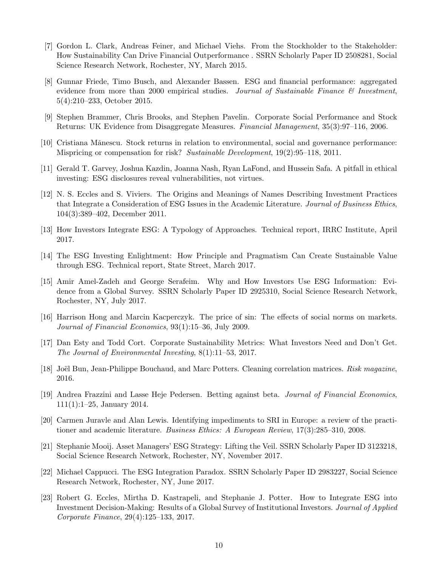- [7] Gordon L. Clark, Andreas Feiner, and Michael Viehs. From the Stockholder to the Stakeholder: How Sustainability Can Drive Financial Outperformance . SSRN Scholarly Paper ID 2508281, Social Science Research Network, Rochester, NY, March 2015.
- [8] Gunnar Friede, Timo Busch, and Alexander Bassen. ESG and financial performance: aggregated evidence from more than 2000 empirical studies. Journal of Sustainable Finance  $\mathcal{B}$  Investment, 5(4):210–233, October 2015.
- [9] Stephen Brammer, Chris Brooks, and Stephen Pavelin. Corporate Social Performance and Stock Returns: UK Evidence from Disaggregate Measures. Financial Management, 35(3):97–116, 2006.
- [10] Cristiana Mǎnescu. Stock returns in relation to environmental, social and governance performance: Mispricing or compensation for risk? Sustainable Development, 19(2):95–118, 2011.
- [11] Gerald T. Garvey, Joshua Kazdin, Joanna Nash, Ryan LaFond, and Hussein Safa. A pitfall in ethical investing: ESG disclosures reveal vulnerabilities, not virtues.
- [12] N. S. Eccles and S. Viviers. The Origins and Meanings of Names Describing Investment Practices that Integrate a Consideration of ESG Issues in the Academic Literature. Journal of Business Ethics, 104(3):389–402, December 2011.
- [13] How Investors Integrate ESG: A Typology of Approaches. Technical report, IRRC Institute, April 2017.
- [14] The ESG Investing Enlightment: How Principle and Pragmatism Can Create Sustainable Value through ESG. Technical report, State Street, March 2017.
- [15] Amir Amel-Zadeh and George Serafeim. Why and How Investors Use ESG Information: Evidence from a Global Survey. SSRN Scholarly Paper ID 2925310, Social Science Research Network, Rochester, NY, July 2017.
- [16] Harrison Hong and Marcin Kacperczyk. The price of sin: The effects of social norms on markets. Journal of Financial Economics, 93(1):15–36, July 2009.
- [17] Dan Esty and Todd Cort. Corporate Sustainability Metrics: What Investors Need and Don't Get. The Journal of Environmental Investing, 8(1):11–53, 2017.
- [18] Joël Bun, Jean-Philippe Bouchaud, and Marc Potters. Cleaning correlation matrices. Risk magazine, 2016.
- [19] Andrea Frazzini and Lasse Heje Pedersen. Betting against beta. Journal of Financial Economics, 111(1):1–25, January 2014.
- [20] Carmen Juravle and Alan Lewis. Identifying impediments to SRI in Europe: a review of the practitioner and academic literature. Business Ethics: A European Review, 17(3):285–310, 2008.
- [21] Stephanie Mooij. Asset Managers' ESG Strategy: Lifting the Veil. SSRN Scholarly Paper ID 3123218, Social Science Research Network, Rochester, NY, November 2017.
- [22] Michael Cappucci. The ESG Integration Paradox. SSRN Scholarly Paper ID 2983227, Social Science Research Network, Rochester, NY, June 2017.
- [23] Robert G. Eccles, Mirtha D. Kastrapeli, and Stephanie J. Potter. How to Integrate ESG into Investment Decision-Making: Results of a Global Survey of Institutional Investors. Journal of Applied Corporate Finance, 29(4):125–133, 2017.